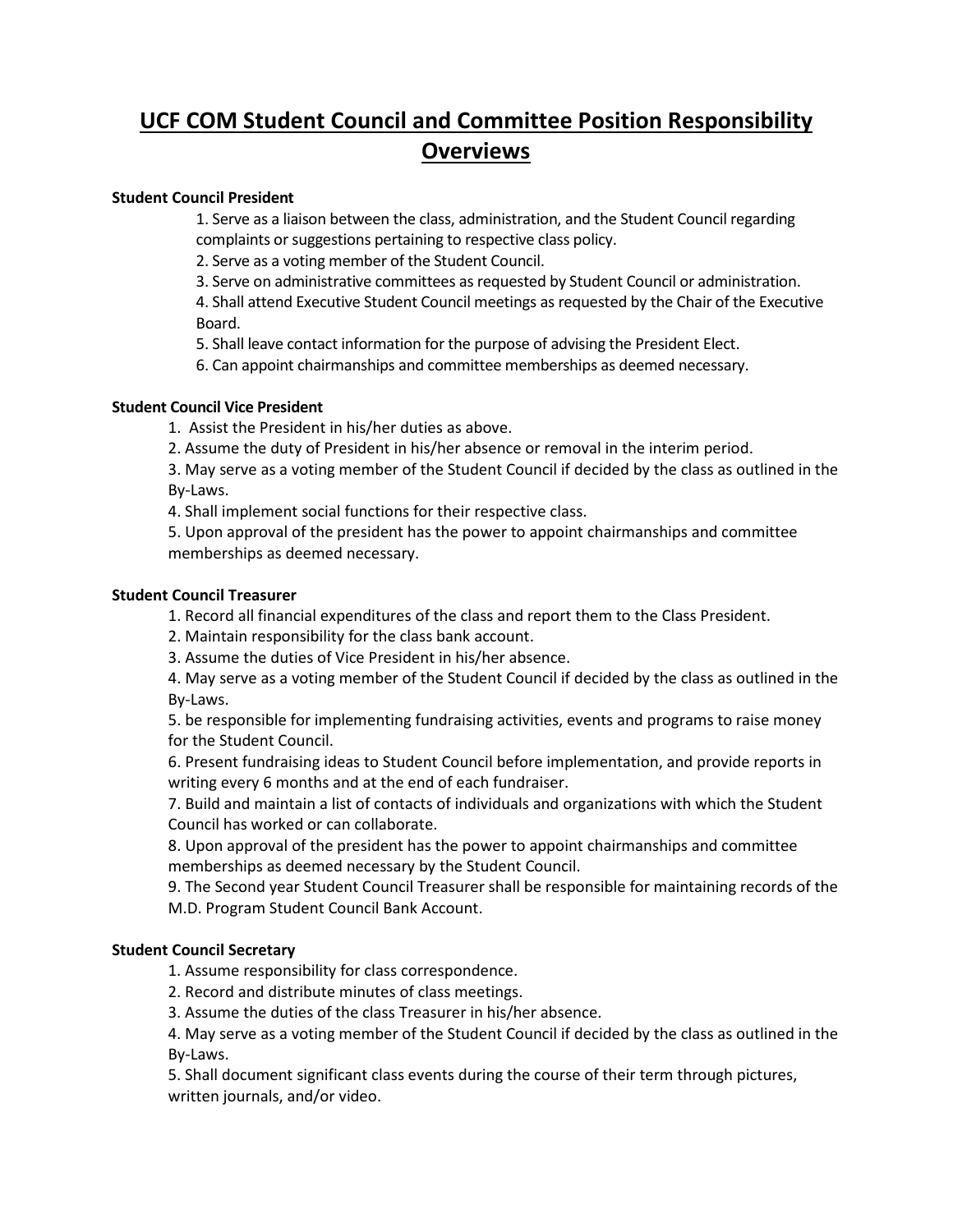# **UCF COM Student Council and Committee Position Responsibility Overviews**

## **Student Council President**

1. Serve as a liaison between the class, administration, and the Student Council regarding complaints or suggestions pertaining to respective class policy.

2. Serve as a voting member of the Student Council.

3. Serve on administrative committees as requested by Student Council or administration.

4. Shall attend Executive Student Council meetings as requested by the Chair of the Executive Board.

5. Shall leave contact information for the purpose of advising the President Elect.

6. Can appoint chairmanships and committee memberships as deemed necessary.

### **Student Council Vice President**

1. Assist the President in his/her duties as above.

2. Assume the duty of President in his/her absence or removal in the interim period.

3. May serve as a voting member of the Student Council if decided by the class as outlined in the By-Laws.

4. Shall implement social functions for their respective class.

5. Upon approval of the president has the power to appoint chairmanships and committee memberships as deemed necessary.

### **Student Council Treasurer**

1. Record all financial expenditures of the class and report them to the Class President.

2. Maintain responsibility for the class bank account.

3. Assume the duties of Vice President in his/her absence.

4. May serve as a voting member of the Student Council if decided by the class as outlined in the By-Laws.

5. be responsible for implementing fundraising activities, events and programs to raise money for the Student Council.

6. Present fundraising ideas to Student Council before implementation, and provide reports in writing every 6 months and at the end of each fundraiser.

7. Build and maintain a list of contacts of individuals and organizations with which the Student Council has worked or can collaborate.

8. Upon approval of the president has the power to appoint chairmanships and committee memberships as deemed necessary by the Student Council.

9. The Second year Student Council Treasurer shall be responsible for maintaining records of the M.D. Program Student Council Bank Account.

# **Student Council Secretary**

1. Assume responsibility for class correspondence.

2. Record and distribute minutes of class meetings.

3. Assume the duties of the class Treasurer in his/her absence.

4. May serve as a voting member of the Student Council if decided by the class as outlined in the By-Laws.

5. Shall document significant class events during the course of their term through pictures, written journals, and/or video.